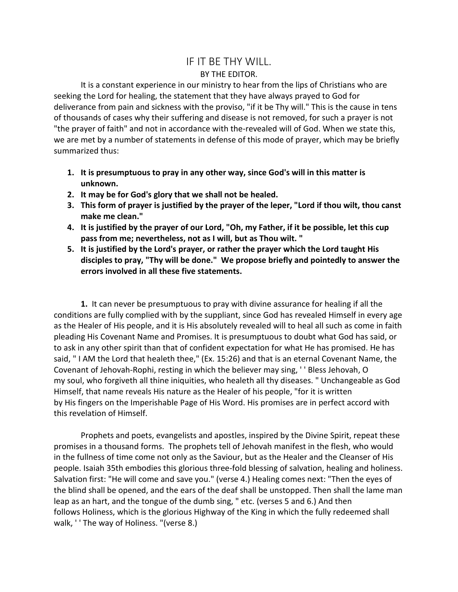## IF IT BE THY WILL. BY THE EDITOR.

It is a constant experience in our ministry to hear from the lips of Christians who are seeking the Lord for healing, the statement that they have always prayed to God for deliverance from pain and sickness with the proviso, "if it be Thy will." This is the cause in tens of thousands of cases why their suffering and disease is not removed, for such a prayer is not "the prayer of faith" and not in accordance with the-revealed will of God. When we state this, we are met by a number of statements in defense of this mode of prayer, which may be briefly summarized thus:

- **1. It is presumptuous to pray in any other way, since God's will in this matter is unknown.**
- **2. It may be for God's glory that we shall not be healed.**
- **3. This form of prayer is justified by the prayer of the leper, "Lord if thou wilt, thou canst make me clean."**
- **4. It is justified by the prayer of our Lord, "Oh, my Father, if it be possible, let this cup pass from me; nevertheless, not as I will, but as Thou wilt. "**
- **5. It is justified by the Lord's prayer, or rather the prayer which the Lord taught His disciples to pray, "Thy will be done." We propose briefly and pointedly to answer the errors involved in all these five statements.**

**1.** It can never be presumptuous to pray with divine assurance for healing if all the conditions are fully complied with by the suppliant, since God has revealed Himself in every age as the Healer of His people, and it is His absolutely revealed will to heal all such as come in faith pleading His Covenant Name and Promises. It is presumptuous to doubt what God has said, or to ask in any other spirit than that of confident expectation for what He has promised. He has said, " I AM the Lord that healeth thee," (Ex. 15:26) and that is an eternal Covenant Name, the Covenant of Jehovah-Rophi, resting in which the believer may sing, ' ' Bless Jehovah, O my soul, who forgiveth all thine iniquities, who healeth all thy diseases. " Unchangeable as God Himself, that name reveals His nature as the Healer of his people, "for it is written by His fingers on the Imperishable Page of His Word. His promises are in perfect accord with this revelation of Himself.

Prophets and poets, evangelists and apostles, inspired by the Divine Spirit, repeat these promises in a thousand forms. The prophets tell of Jehovah manifest in the flesh, who would in the fullness of time come not only as the Saviour, but as the Healer and the Cleanser of His people. Isaiah 35th embodies this glorious three-fold blessing of salvation, healing and holiness. Salvation first: "He will come and save you." (verse 4.) Healing comes next: "Then the eyes of the blind shall be opened, and the ears of the deaf shall be unstopped. Then shall the lame man leap as an hart, and the tongue of the dumb sing, " etc. (verses 5 and 6.) And then follows Holiness, which is the glorious Highway of the King in which the fully redeemed shall walk, ' ' The way of Holiness. "(verse 8.)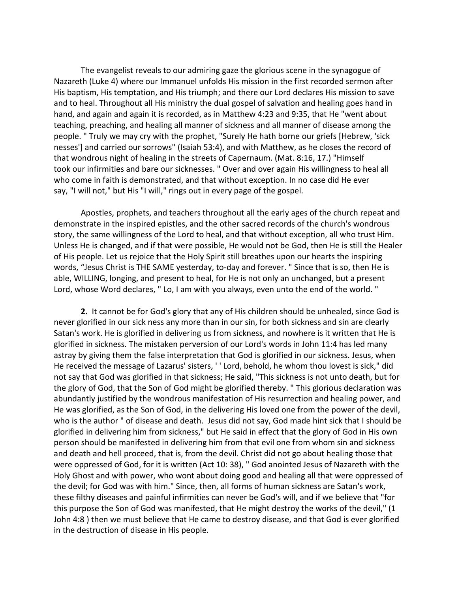The evangelist reveals to our admiring gaze the glorious scene in the synagogue of Nazareth (Luke 4) where our Immanuel unfolds His mission in the first recorded sermon after His baptism, His temptation, and His triumph; and there our Lord declares His mission to save and to heal. Throughout all His ministry the dual gospel of salvation and healing goes hand in hand, and again and again it is recorded, as in Matthew 4:23 and 9:35, that He "went about teaching, preaching, and healing all manner of sickness and all manner of disease among the people. " Truly we may cry with the prophet, "Surely He hath borne our griefs [Hebrew, 'sick nesses'] and carried our sorrows" (Isaiah 53:4), and with Matthew, as he closes the record of that wondrous night of healing in the streets of Capernaum. (Mat. 8:16, 17.) "Himself took our infirmities and bare our sicknesses. " Over and over again His willingness to heal all who come in faith is demonstrated, and that without exception. In no case did He ever say, "I will not," but His "I will," rings out in every page of the gospel.

Apostles, prophets, and teachers throughout all the early ages of the church repeat and demonstrate in the inspired epistles, and the other sacred records of the church's wondrous story, the same willingness of the Lord to heal, and that without exception, all who trust Him. Unless He is changed, and if that were possible, He would not be God, then He is still the Healer of His people. Let us rejoice that the Holy Spirit still breathes upon our hearts the inspiring words, "Jesus Christ is THE SAME yesterday, to-day and forever. " Since that is so, then He is able, WILLING, longing, and present to heal, for He is not only an unchanged, but a present Lord, whose Word declares, " Lo, I am with you always, even unto the end of the world. "

**2.** It cannot be for God's glory that any of His children should be unhealed, since God is never glorified in our sick ness any more than in our sin, for both sickness and sin are clearly Satan's work. He is glorified in delivering us from sickness, and nowhere is it written that He is glorified in sickness. The mistaken perversion of our Lord's words in John 11:4 has led many astray by giving them the false interpretation that God is glorified in our sickness. Jesus, when He received the message of Lazarus' sisters, ' ' Lord, behold, he whom thou lovest is sick," did not say that God was glorified in that sickness; He said, "This sickness is not unto death, but for the glory of God, that the Son of God might be glorified thereby. " This glorious declaration was abundantly justified by the wondrous manifestation of His resurrection and healing power, and He was glorified, as the Son of God, in the delivering His loved one from the power of the devil, who is the author " of disease and death. Jesus did not say, God made hint sick that I should be glorified in delivering him from sickness," but He said in effect that the glory of God in His own person should be manifested in delivering him from that evil one from whom sin and sickness and death and hell proceed, that is, from the devil. Christ did not go about healing those that were oppressed of God, for it is written (Act 10: 38), " God anointed Jesus of Nazareth with the Holy Ghost and with power, who wont about doing good and healing all that were oppressed of the devil; for God was with him." Since, then, all forms of human sickness are Satan's work, these filthy diseases and painful infirmities can never be God's will, and if we believe that "for this purpose the Son of God was manifested, that He might destroy the works of the devil," (1 John 4:8 ) then we must believe that He came to destroy disease, and that God is ever glorified in the destruction of disease in His people.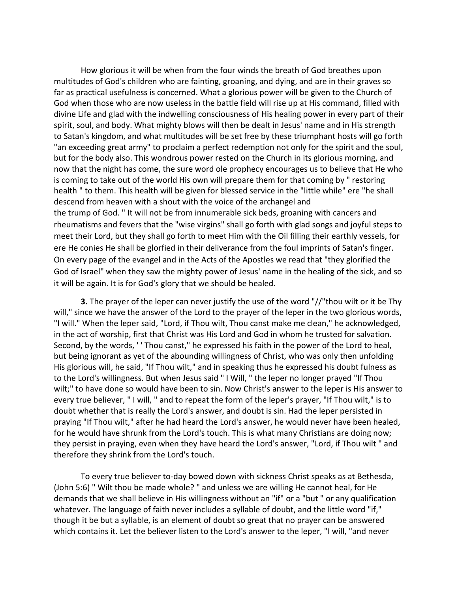How glorious it will be when from the four winds the breath of God breathes upon multitudes of God's children who are fainting, groaning, and dying, and are in their graves so far as practical usefulness is concerned. What a glorious power will be given to the Church of God when those who are now useless in the battle field will rise up at His command, filled with divine Life and glad with the indwelling consciousness of His healing power in every part of their spirit, soul, and body. What mighty blows will then be dealt in Jesus' name and in His strength to Satan's kingdom, and what multitudes will be set free by these triumphant hosts will go forth "an exceeding great army" to proclaim a perfect redemption not only for the spirit and the soul, but for the body also. This wondrous power rested on the Church in its glorious morning, and now that the night has come, the sure word ole prophecy encourages us to believe that He who is coming to take out of the world His own will prepare them for that coming by " restoring health " to them. This health will be given for blessed service in the "little while" ere "he shall descend from heaven with a shout with the voice of the archangel and the trump of God. " It will not be from innumerable sick beds, groaning with cancers and rheumatisms and fevers that the "wise virgins" shall go forth with glad songs and joyful steps to meet their Lord, but they shall go forth to meet Him with the Oil filling their earthly vessels, for ere He conies He shall be glorfied in their deliverance from the foul imprints of Satan's finger. On every page of the evangel and in the Acts of the Apostles we read that "they glorified the God of Israel" when they saw the mighty power of Jesus' name in the healing of the sick, and so it will be again. It is for God's glory that we should be healed.

**3.** The prayer of the leper can never justify the use of the word "//"thou wilt or it be Thy will," since we have the answer of the Lord to the prayer of the leper in the two glorious words, "I will." When the leper said, "Lord, if Thou wilt, Thou canst make me clean," he acknowledged, in the act of worship, first that Christ was His Lord and God in whom he trusted for salvation. Second, by the words, '' Thou canst," he expressed his faith in the power of the Lord to heal, but being ignorant as yet of the abounding willingness of Christ, who was only then unfolding His glorious will, he said, "If Thou wilt," and in speaking thus he expressed his doubt fulness as to the Lord's willingness. But when Jesus said " I Will, " the leper no longer prayed "If Thou wilt;" to have done so would have been to sin. Now Christ's answer to the leper is His answer to every true believer, " I will, " and to repeat the form of the leper's prayer, "If Thou wilt," is to doubt whether that is really the Lord's answer, and doubt is sin. Had the leper persisted in praying "If Thou wilt," after he had heard the Lord's answer, he would never have been healed, for he would have shrunk from the Lord's touch. This is what many Christians are doing now; they persist in praying, even when they have heard the Lord's answer, "Lord, if Thou wilt " and therefore they shrink from the Lord's touch.

To every true believer to-day bowed down with sickness Christ speaks as at Bethesda, (John 5:6) " Wilt thou be made whole? " and unless we are willing He cannot heal, for He demands that we shall believe in His willingness without an "if" or a "but " or any qualification whatever. The language of faith never includes a syllable of doubt, and the little word "if," though it be but a syllable, is an element of doubt so great that no prayer can be answered which contains it. Let the believer listen to the Lord's answer to the leper, "I will, "and never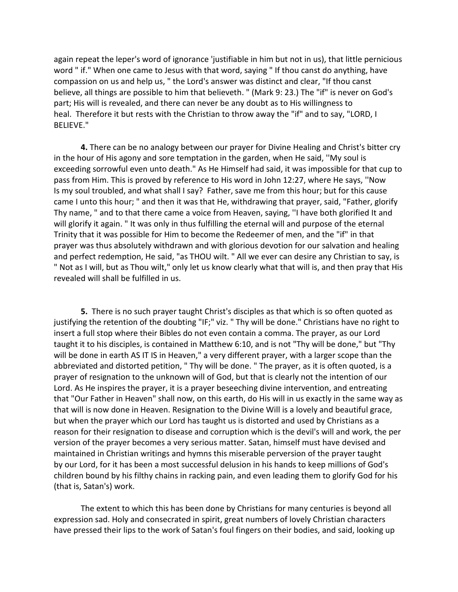again repeat the leper's word of ignorance 'justifiable in him but not in us), that little pernicious word " if." When one came to Jesus with that word, saying " If thou canst do anything, have compassion on us and help us, " the Lord's answer was distinct and clear, "If thou canst believe, all things are possible to him that believeth. " (Mark 9: 23.) The "if" is never on God's part; His will is revealed, and there can never be any doubt as to His willingness to heal. Therefore it but rests with the Christian to throw away the "if" and to say, "LORD, I BELIEVE."

**4.** There can be no analogy between our prayer for Divine Healing and Christ's bitter cry in the hour of His agony and sore temptation in the garden, when He said, ''My soul is exceeding sorrowful even unto death." As He Himself had said, it was impossible for that cup to pass from Him. This is proved by reference to His word in John 12:27, where He says, ''Now Is my soul troubled, and what shall I say? Father, save me from this hour; but for this cause came I unto this hour; " and then it was that He, withdrawing that prayer, said, "Father, glorify Thy name, " and to that there came a voice from Heaven, saying, ''I have both glorified It and will glorify it again. " It was only in thus fulfilling the eternal will and purpose of the eternal Trinity that it was possible for Him to become the Redeemer of men, and the "if" in that prayer was thus absolutely withdrawn and with glorious devotion for our salvation and healing and perfect redemption, He said, "as THOU wilt. " All we ever can desire any Christian to say, is " Not as I will, but as Thou wilt," only let us know clearly what that will is, and then pray that His revealed will shall be fulfilled in us.

**5.** There is no such prayer taught Christ's disciples as that which is so often quoted as justifying the retention of the doubting "IF;" viz. " Thy will be done." Christians have no right to insert a full stop where their Bibles do not even contain a comma. The prayer, as our Lord taught it to his disciples, is contained in Matthew 6:10, and is not "Thy will be done," but "Thy will be done in earth AS IT IS in Heaven," a very different prayer, with a larger scope than the abbreviated and distorted petition, " Thy will be done. " The prayer, as it is often quoted, is a prayer of resignation to the unknown will of God, but that is clearly not the intention of our Lord. As He inspires the prayer, it is a prayer beseeching divine intervention, and entreating that "Our Father in Heaven" shall now, on this earth, do His will in us exactly in the same way as that will is now done in Heaven. Resignation to the Divine Will is a lovely and beautiful grace, but when the prayer which our Lord has taught us is distorted and used by Christians as a reason for their resignation to disease and corruption which is the devil's will and work, the per version of the prayer becomes a very serious matter. Satan, himself must have devised and maintained in Christian writings and hymns this miserable perversion of the prayer taught by our Lord, for it has been a most successful delusion in his hands to keep millions of God's children bound by his filthy chains in racking pain, and even leading them to glorify God for his (that is, Satan's) work.

The extent to which this has been done by Christians for many centuries is beyond all expression sad. Holy and consecrated in spirit, great numbers of lovely Christian characters have pressed their lips to the work of Satan's foul fingers on their bodies, and said, looking up